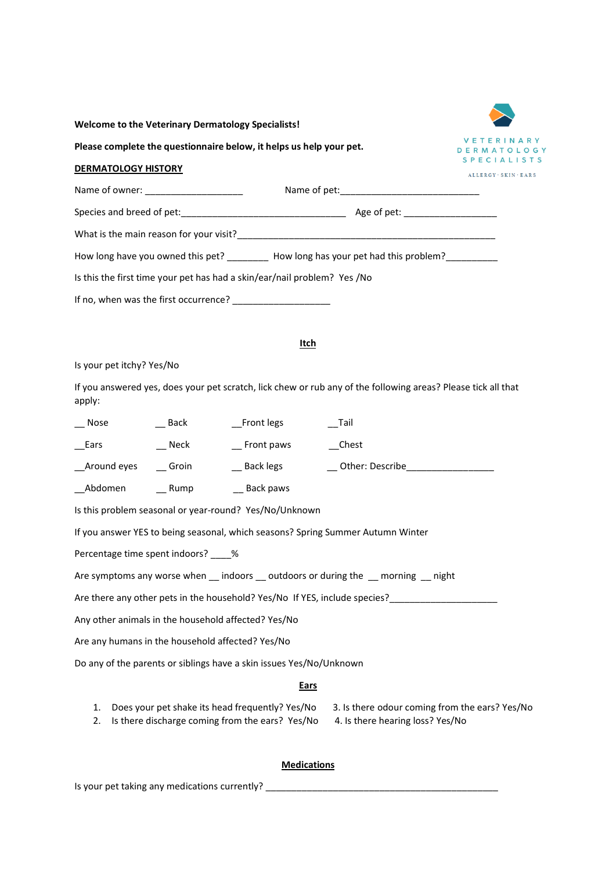**Welcome to the Veterinary Dermatology Specialists!** 

**Please complete the questionnaire below, it helps us help your pet.**

## **DERMATOLOGY HISTORY**

| Name of owner: ________________________                                  | Name of pet: Name of petition of the state of petition of the state of the state of the state of the state of the state of the state of the state of the state of the state of the state of the state of the state of the stat |
|--------------------------------------------------------------------------|--------------------------------------------------------------------------------------------------------------------------------------------------------------------------------------------------------------------------------|
|                                                                          | Age of pet: ______________________                                                                                                                                                                                             |
| What is the main reason for your visit?                                  |                                                                                                                                                                                                                                |
|                                                                          | How long have you owned this pet? How long has your pet had this problem?                                                                                                                                                      |
| Is this the first time your pet has had a skin/ear/nail problem? Yes /No |                                                                                                                                                                                                                                |
| If no, when was the first occurrence?                                    |                                                                                                                                                                                                                                |

**Itch**

Is your pet itchy? Yes/No

If you answered yes, does your pet scratch, lick chew or rub any of the following areas? Please tick all that apply:

| Nose        | Back  | Front legs | Tail            |  |
|-------------|-------|------------|-----------------|--|
| Ears        | Neck  | Front paws | Chest           |  |
| Around eyes | Groin | Back legs  | Other: Describe |  |
| Abdomen     | Rump  | Back paws  |                 |  |

Is this problem seasonal or year-round? Yes/No/Unknown

If you answer YES to being seasonal, which seasons? Spring Summer Autumn Winter

Percentage time spent indoors?  $\%$ 

Are symptoms any worse when \_\_ indoors \_\_ outdoors or during the \_\_ morning \_\_ night

Are there any other pets in the household? Yes/No If YES, include species?\_\_\_\_\_\_\_

Any other animals in the household affected? Yes/No

Are any humans in the household affected? Yes/No

Do any of the parents or siblings have a skin issues Yes/No/Unknown

## **Ears**

- 1. Does your pet shake its head frequently? Yes/No 3. Is there odour coming from the ears? Yes/No
- 2. Is there discharge coming from the ears? Yes/No 4. Is there hearing loss? Yes/No
- 

**VETERINARY DERMATOLOGY** SPECIALISTS  $\verb+ALLERGY\cdot SKIN\cdot EARS~~$ 

**Medications**

Is your pet taking any medications currently? \_\_\_\_\_\_\_\_\_\_\_\_\_\_\_\_\_\_\_\_\_\_\_\_\_\_\_\_\_\_\_\_\_\_\_